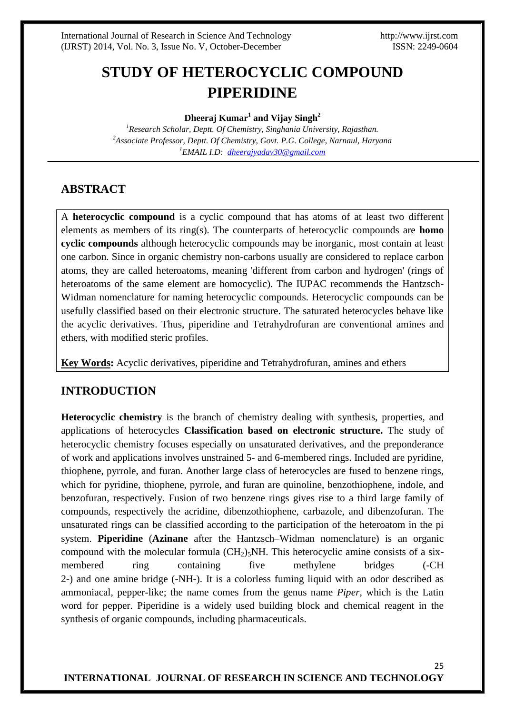25

# **STUDY OF HETEROCYCLIC COMPOUND PIPERIDINE**

**Dheeraj Kumar<sup>1</sup> and Vijay Singh<sup>2</sup>**

*<sup>1</sup>Research Scholar, Deptt. Of Chemistry, Singhania University, Rajasthan. <sup>2</sup>Associate Professor, Deptt. Of Chemistry, Govt. P.G. College, Narnaul, Haryana <sup>1</sup>EMAIL I.D: [dheerajyadav30@gmail.com](mailto:dheerajyadav30@gmail.com)*

# **ABSTRACT**

A **heterocyclic compound** is a cyclic compound that has atoms of at least two different elements as members of its ring(s). The counterparts of heterocyclic compounds are **homo cyclic compounds** although heterocyclic compounds may be inorganic, most contain at least one carbon. Since in organic chemistry non-carbons usually are considered to replace carbon atoms, they are called heteroatoms, meaning 'different from carbon and hydrogen' (rings of heteroatoms of the same element are homocyclic). The IUPAC recommends the Hantzsch-Widman nomenclature for naming heterocyclic compounds. Heterocyclic compounds can be usefully classified based on their electronic structure. The saturated heterocycles behave like the acyclic derivatives. Thus, piperidine and Tetrahydrofuran are conventional amines and ethers, with modified steric profiles.

**Key Words:** Acyclic derivatives, piperidine and Tetrahydrofuran, amines and ethers

# **INTRODUCTION**

**Heterocyclic chemistry** is the branch of chemistry dealing with synthesis, properties, and applications of heterocycles **Classification based on electronic structure.** The study of heterocyclic chemistry focuses especially on unsaturated derivatives, and the preponderance of work and applications involves unstrained 5- and 6-membered rings. Included are pyridine, thiophene, pyrrole, and furan. Another large class of heterocycles are fused to benzene rings, which for pyridine, thiophene, pyrrole, and furan are quinoline, benzothiophene, indole, and benzofuran, respectively. Fusion of two benzene rings gives rise to a third large family of compounds, respectively the acridine, dibenzothiophene, carbazole, and dibenzofuran. The unsaturated rings can be classified according to the participation of the heteroatom in the pi system. **Piperidine** (**Azinane** after the Hantzsch–Widman nomenclature) is an organic compound with the molecular formula  $(CH<sub>2</sub>)<sub>5</sub>NH$ . This heterocyclic amine consists of a sixmembered ring containing five methylene bridges (-CH 2-) and one amine bridge (-NH-). It is a colorless fuming liquid with an odor described as ammoniacal, pepper-like; the name comes from the genus name *Piper*, which is the Latin word for pepper. Piperidine is a widely used building block and chemical reagent in the synthesis of organic compounds, including pharmaceuticals.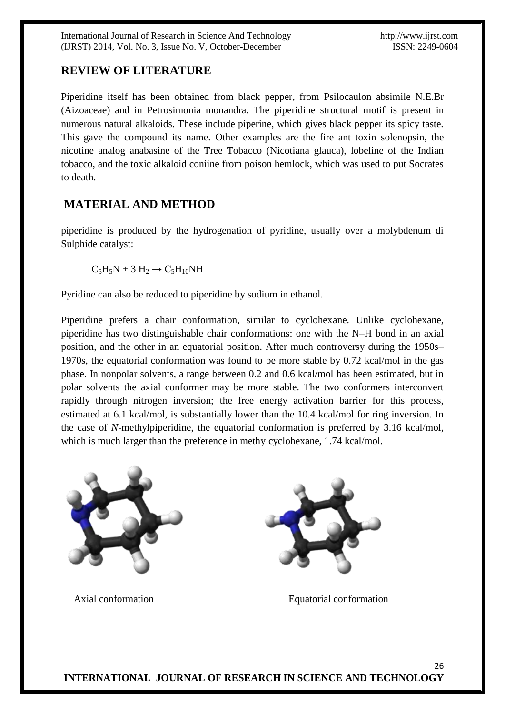International Journal of Research in Science And Technology http://www.ijrst.com (IJRST) 2014, Vol. No. 3, Issue No. V, October-December ISSN: 2249-0604

# **REVIEW OF LITERATURE**

Piperidine itself has been obtained from black pepper, from Psilocaulon absimile N.E.Br (Aizoaceae) and in Petrosimonia monandra. The piperidine structural motif is present in numerous natural alkaloids. These include piperine, which gives black pepper its spicy taste. This gave the compound its name. Other examples are the fire ant toxin solenopsin, the nicotine analog anabasine of the Tree Tobacco (Nicotiana glauca), lobeline of the Indian tobacco, and the toxic alkaloid coniine from poison hemlock, which was used to put Socrates to death.

# **MATERIAL AND METHOD**

piperidine is produced by the hydrogenation of pyridine, usually over a molybdenum di Sulphide catalyst:

 $C_5H_5N + 3H_2 \rightarrow C_5H_{10}NH$ 

Pyridine can also be reduced to piperidine by sodium in ethanol.

Piperidine prefers a chair conformation, similar to cyclohexane. Unlike cyclohexane, piperidine has two distinguishable chair conformations: one with the N–H bond in an axial position, and the other in an equatorial position. After much controversy during the 1950s– 1970s, the equatorial conformation was found to be more stable by 0.72 kcal/mol in the gas phase. In nonpolar solvents, a range between 0.2 and 0.6 kcal/mol has been estimated, but in polar solvents the axial conformer may be more stable. The two conformers interconvert rapidly through nitrogen inversion; the free energy activation barrier for this process, estimated at 6.1 kcal/mol, is substantially lower than the 10.4 kcal/mol for ring inversion. In the case of *N*-methylpiperidine, the equatorial conformation is preferred by 3.16 kcal/mol, which is much larger than the preference in methylcyclohexane, 1.74 kcal/mol.



Axial conformation Equatorial conformation

26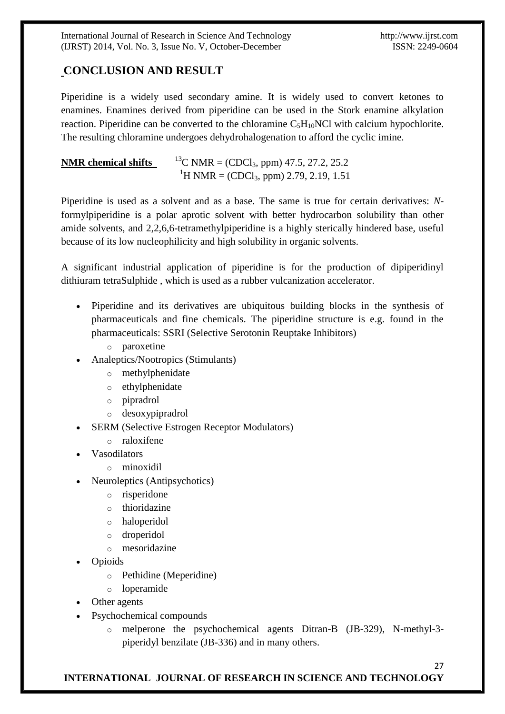International Journal of Research in Science And Technology http://www.ijrst.com (IJRST) 2014, Vol. No. 3, Issue No. V, October-December ISSN: 2249-0604

27

# **CONCLUSION AND RESULT**

Piperidine is a widely used secondary amine. It is widely used to convert ketones to enamines. Enamines derived from piperidine can be used in the Stork enamine alkylation reaction. Piperidine can be converted to the chloramine  $C_5H_{10}NCl$  with calcium hypochlorite. The resulting chloramine undergoes dehydrohalogenation to afford the cyclic imine.

| <b>NMR</b> chemical shifts | <sup>13</sup> C NMR = (CDCl <sub>3</sub> , ppm) 47.5, 27.2, 25.2 |
|----------------------------|------------------------------------------------------------------|
|                            | <sup>1</sup> H NMR = (CDCl <sub>3</sub> , ppm) 2.79, 2.19, 1.51  |

Piperidine is used as a solvent and as a base. The same is true for certain derivatives: *N*formylpiperidine is a polar aprotic solvent with better hydrocarbon solubility than other amide solvents, and 2,2,6,6-tetramethylpiperidine is a highly sterically hindered base, useful because of its low nucleophilicity and high solubility in organic solvents.

A significant industrial application of piperidine is for the production of dipiperidinyl dithiuram tetraSulphide , which is used as a rubber vulcanization accelerator.

- Piperidine and its derivatives are ubiquitous building blocks in the synthesis of pharmaceuticals and fine chemicals. The piperidine structure is e.g. found in the pharmaceuticals: SSRI (Selective Serotonin Reuptake Inhibitors)
	- o paroxetine
- Analeptics/Nootropics (Stimulants)
	- o methylphenidate
	- o ethylphenidate
	- o pipradrol
	- o desoxypipradrol
- SERM (Selective Estrogen Receptor Modulators)
	- o raloxifene
- Vasodilators
	- o minoxidil
- Neuroleptics (Antipsychotics)
	- o risperidone
	- o thioridazine
	- o haloperidol
	- o droperidol
	- o mesoridazine
- Opioids
	- o Pethidine (Meperidine)
	- o loperamide
- Other agents
- Psychochemical compounds
	- o melperone the psychochemical agents Ditran-B (JB-329), N-methyl-3 piperidyl benzilate (JB-336) and in many others.